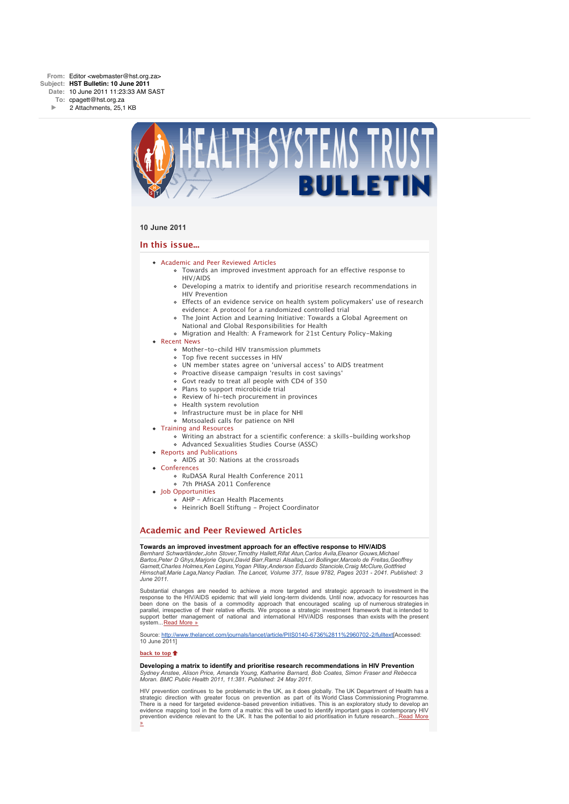

# **10 June 2011**

# **In this issue...**

- **[Academic and Peer Reviewed Articles](x-msg://101/#Academic)** 
	- [Towards an improved investment approach for an effective response to](x-msg://101/#A_1) HIV/AIDS
	- [Developing a matrix to identify and prioritise research recommendations in](x-msg://101/#A_2) HIV Prevention
	- [Effects of an evidence service on health system policymakers' use of research](x-msg://101/#A_3) evidence: A protocol for a randomized controlled trial
	- [The Joint Action and Learning Initiative: Towards a Global Agreement on](x-msg://101/#A_4) National and Global Responsibilities for Health
	- [Migration and Health: A Framework for 21st Century Policy-Making](x-msg://101/#A_5)
- [Recent News](x-msg://101/#recent)
	- [Mother-to-child HIV transmission plummets](x-msg://101/#N_0)
	- [Top five recent successes in HIV](x-msg://101/#N_1)
	- [UN member states agree on 'universal access' to AIDS treatment](x-msg://101/#N_2)
	- [Proactive disease campaign 'results in cost savings'](x-msg://101/#N_3)
	- [Govt ready to treat all people with CD4 of 350](x-msg://101/#N_4)
	- [Plans to support microbicide trial](x-msg://101/#N_5)
	- [Review of hi-tech procurement in provinces](x-msg://101/#N_6)
	- [Health system revolution](x-msg://101/#N_7)
	- [Infrastructure must be in place for NHI](x-msg://101/#N_8)
	- [Motsoaledi calls for patience on NHI](x-msg://101/#N_9)
- [Training and Resources](x-msg://101/#train)
	- [Writing an abstract for a scientific conference: a skills-building workshop](x-msg://101/#T_0) [Advanced Sexualities Studies Course \(ASSC\)](x-msg://101/#T_1)
- [Reports and Publications](x-msg://101/#publications)
- [AIDS at 30: Nations at the crossroads](x-msg://101/#P_0)
- [Conferences](x-msg://101/#conferences)
	- [RuDASA Rural Health Conference 2011](x-msg://101/#C_1)
	- [7th PHASA 2011 Conference](x-msg://101/#C_2)
- [Job Opportunities](x-msg://101/#jobs)
	- [AHP African Health Placements](x-msg://101/#J_0)
	- [Heinrich Boell Stiftung Project Coordinator](x-msg://101/#J_2)

# **Academic and Peer Reviewed Articles**

# **Towards an improved investment approach for an effective response to HIV/AIDS**

*Bernhard Schwartländer,John Stover,Timothy Hallett,Rifat Atun,Carlos Avila,Eleanor Gouws,Michael Bartos,Peter D Ghys,Marjorie Opuni,David Barr,Ramzi Alsallaq,Lori Bollinger,Marcelo de Freitas,Geoffrey Garnett,Charles Holmes,Ken Legins,Yogan Pillay,Anderson Eduardo Stanciole,Craig McClure,Gottfried Hirnschall,Marie Laga,Nancy Padian. The Lancet, Volume 377, Issue 9782, Pages 2031 - 2041. Published: 3 June 2011.*

Substantial changes are needed to achieve a more targeted and strategic approach to investment in the response to the HIV/AIDS epidemic that will yield long-term dividends. Until now, advocacy for resources has been done on the basis of a commodity approach that encouraged scaling up of numerous strategies in parallel, irrespective of their relative effects. We propose a strategic investment framework that is intended to support better management of national and international HIV/AIDS responses than exists with the present system...[Read More »](http://bulletin.hst.org.za//lt.php?id=K09XC1BdVAcFSlhUTwgFD1Q%3D)

Source: [http://www.thelancet.com/journals/lancet/article/PIIS0140-6736%2811%2960702-2/fulltext](http://bulletin.hst.org.za//lt.php?id=K09XC1BdVAcFSlhUTwgFD1Q%3D)[Accessed: 10 June 2011]

### **[back to top](x-msg://101/#top)**

# **Developing a matrix to identify and prioritise research recommendations in HIV Prevention**

*Sydney Anstee, Alison Price, Amanda Young, Katharine Barnard, Bob Coates, Simon Fraser and Rebecca Moran. BMC Public Health 2011, 11:381. Published: 24 May 2011.*

HIV prevention continues to be problematic in the UK, as it does globally. The UK Department of Health has a strategic direction with greater focus on prevention as part of its World Class Commissioning Programme. There is a need for targeted evidence-based prevention initiatives. This is an exploratory study to develop an evidence mapping tool in the form of a matrix: this will be used to identify important gaps in contemporary HIV [prevention evidence relevant to the UK. It has the potential to aid prioritisation in future research...Read More](http://bulletin.hst.org.za//lt.php?id=K09XC1BdVAcESlhUTwgFD1Q%3D) »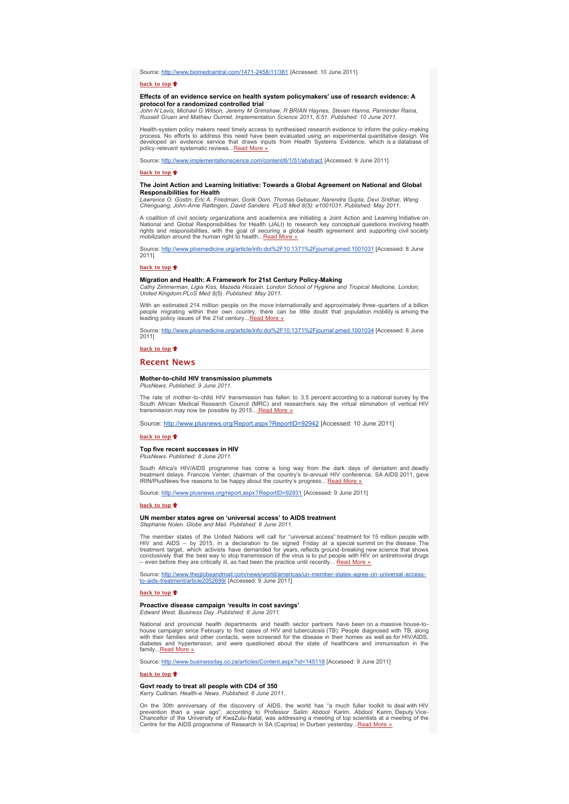Source: [http://www.biomedcentral.com/1471-2458/11/381](http://bulletin.hst.org.za//lt.php?id=K09XC1BdVAcESlhUTwgFD1Q%3D) [Accessed: 10 June 2011]

**[back to top](x-msg://101/#top)**

### **Effects of an evidence service on health system policymakers' use of research evidence: A protocol for a randomized controlled trial**

*John N Lavis, Michael G Wilson, Jeremy M Grimshaw, R BRIAN Haynes, Steven Hanna, Parminder Raina, Russell Gruen and Mathieu Ouimet. Implementation Science 2011, 6:51. Published: 10 June 2011.*

Health-system policy makers need timely access to synthesised research evidence to inform the policy-making process. No efforts to address this need have been evaluated using an experimental quantitative design. We developed an evidence service that draws inputs from Health Systems Evidence, which is a database of policy-relevant systematic reviews...[Read More »](http://bulletin.hst.org.za//lt.php?id=K09XC1BdVAcDSlhUTwgFD1Q%3D)

Source: [http://www.implementationscience.com/content/6/1/51/abstract](http://bulletin.hst.org.za//lt.php?id=K09XC1BdVAcDSlhUTwgFD1Q%3D) [Accessed: 9 June 2011]

### **[back to top](x-msg://101/#top)**

# **The Joint Action and Learning Initiative: Towards a Global Agreement on National and Global Responsibilities for Health**

*Lawrence O. Gostin, Eric A. Friedman, Gorik Oom, Thomas Gebauer, Narendra Gupta, Devi Sridhar, Wang Chenguang, John-Arne Røttingen, David Sanders. PLoS Med 8(5): e1001031. Published: May 2011.*

A coalition of civil society organizations and academics are initiating a Joint Action and Learning Initiative on<br>National and Global Responsibilities for Health (JALI) to research key conceptual questions involving health

Source: [http://www.plosmedicine.org/article/info:doi%2F10.1371%2Fjournal.pmed.1001031](http://bulletin.hst.org.za//lt.php?id=K09XC1BdVAcCSlhUTwgFD1Q%3D) [Accessed: 8 June 2011]

**[back to top](x-msg://101/#top)**

**Migration and Health: A Framework for 21st Century Policy-Making**<br>Cathy Zimmerman, Ligia Kiss, Mazeda Hossain. London School of Hygiene and Tropical Medicine, London,<br>United Kingdom.PLoS Med 8(5). Published: May 2011.

With an estimated 214 million people on the move internationally and approximately three-quarters of a billion<br>people migrating within their own country, there can be little doubt that population mobility is among the<br>lead

Source: [http://www.plosmedicine.org/article/info:doi%2F10.1371%2Fjournal.pmed.1001034](http://bulletin.hst.org.za//lt.php?id=K09XC1BdVAcBSlhUTwgFD1Q%3D) [Accessed: 8 June 2011]

**[back to top](x-msg://101/#top)**

# **Recent News**

#### **Mother-to-child HIV transmission plummets** *PlusNews. Published: 9 June 2011.*

The rate of mother-to-child HIV transmission has fallen to 3.5 percent according to a national survey by the South African Medical Research Council (MRC) and researchers say the virtual elimination of vertical HIV<br>transmission may now be possible by 2015... <u>Read More »</u>

Source: [http://www.plusnews.org/Report.aspx?ReportID=92942](http://bulletin.hst.org.za//lt.php?id=K09XC1BdVAcASlhUTwgFD1Q%3D) [Accessed: 10 June 2011]

### **[back to top](x-msg://101/#top)**

# **Top five recent successes in HIV**

*PlusNews. Published: 8 June 2011.*

South Africa's HIV/AIDS programme has come a long way from the dark days of denialism and deadly treatment delays. Francois Venter, chairman of the country's bi-annual HIV conference, SA AIDS 2011, gave IRIN/PlusNews five reasons to be happy about the country's progress... [Read More »](http://bulletin.hst.org.za//lt.php?id=K09XC1BdVAcPSlhUTwgFD1Q%3D)

Source: [http://www.plusnews.org/report.aspx?ReportID=92931](http://bulletin.hst.org.za//lt.php?id=K09XC1BdVAcPSlhUTwgFD1Q%3D) [Accessed: 9 June 2011]

### **[back to top](x-msg://101/#top)**

# **UN member states agree on 'universal access' to AIDS treatment**

*Stephanie Nolen. Globe and Mail. Published: 8 June 2011.*

The member states of the United Nations will call for "universal access" treatment for 15 million people with HIV and AIDS – by 2015, in a declaration to be signed Friday at a special summit on the disease. The<br>treatment target, which activists have demanded for years, reflects ground-breaking new science that shows<br>conclusively t Fractionary and the secondy to step and the practice until recently... [Read More »](http://bulletin.hst.org.za//lt.php?id=K09XC1BdVAcOSlhUTwgFD1Q%3D)

Source: <u>http://www.theglobeandmail.com/news/world/americas/un-member-states-agree-on-universal-access-</u><br><u>to-aids-treatment/article2052699/</u> [Accessed: 9 June 2011]

### **[back to top](x-msg://101/#top)**

### **Proactive disease campaign 'results in cost savings'** *Edward West. Business Day. Published: 8 June 2011.*

National and provincial health departments and health sector partners have been on a massive house-tohouse campaign since February to find cases of HIV and tuberculosis (TB). People diagnosed with TB, along with their families and other contacts, were screened for the disease in their homes as well as for HIV/AIDS, diabetes and hypertension, and were questioned about the state of healthcare and immunisation in the family..[.Read More »](http://bulletin.hst.org.za//lt.php?id=K09XC1BdVAQHSlhUTwgFD1Q%3D)

Source: [http://www.businessday.co.za/articles/Content.aspx?id=145118](http://bulletin.hst.org.za//lt.php?id=K09XC1BdVAQHSlhUTwgFD1Q%3D) [Accessed: 9 June 2011]

# **[back to top](x-msg://101/#top)**

### **Govt ready to treat all people with CD4 of 350** *Kerry Cullinan. Health-e News. Published: 6 June 2011.*

On the 30th anniversary of the discovery of AIDS, the world has "a much fuller toolkit to deal with HIV prevention than a year ago", according to Professor Salim Abdool Karim. Abdool Karim, Deputy Vice-<br>Chancellor of the University of KwaZulu-Natal, was addressing a meeting of top scientists at a meeting of the<br>Centre for th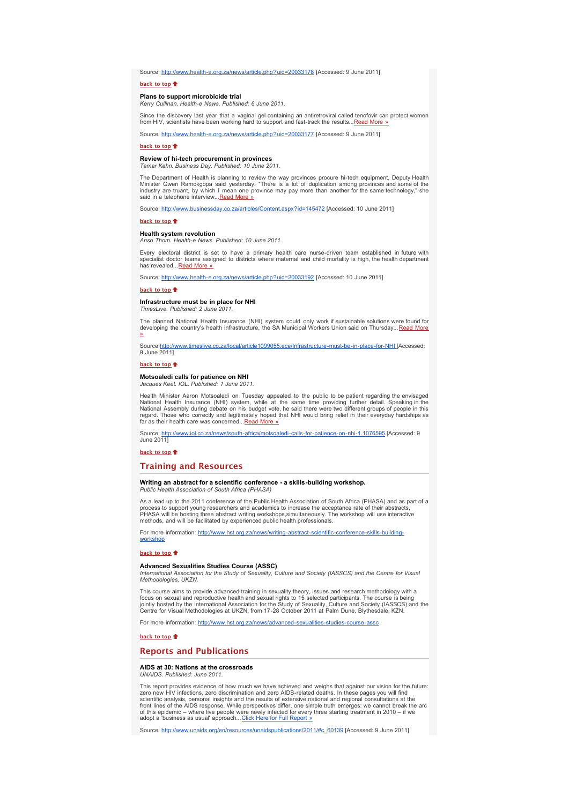Source: [http://www.health-e.org.za/news/article.php?uid=20033178](http://bulletin.hst.org.za//lt.php?id=K09XC1BdVAQGSlhUTwgFD1Q%3D) [Accessed: 9 June 2011]

### **[back to top](x-msg://101/#top)**

# **Plans to support microbicide trial**

*Kerry Cullinan. Health-e News. Published: 6 June 2011.*

Since the discovery last year that a vaginal gel containing an antiretroviral called tenofovir can protect women<br>from HIV, scientists have been working hard to support and fast-track the results...<u>Read More »</u>

Source: [http://www.health-e.org.za/news/article.php?uid=20033177](http://bulletin.hst.org.za//lt.php?id=K08aAFAYVAUABg%3D%3D) [Accessed: 9 June 2011]

# **[back to top](x-msg://101/#top)**

### **Review of hi-tech procurement in provinces** *Tamar Kahn. Business Day. Published: 10 June 2011.*

The Department of Health is planning to review the way provinces procure hi-tech equipment, Deputy Health<br>Minister Gwen Ramokgopa said yesterday. "There is a lot of duplication among provinces and some of the<br>industry are said in a telephone interview...Read More

Source: [http://www.businessday.co.za/articles/Content.aspx?id=145472](http://bulletin.hst.org.za//lt.php?id=K09XC1BdVAQFSlhUTwgFD1Q%3D) [Accessed: 10 June 2011]

### **[back to top](x-msg://101/#top)**

# **Health system revolution**

*Anso Thom. Health-e News. Published: 10 June 2011.*

Every electoral district is set to have a primary health care nurse-driven team established in future with specialist doctor teams assigned to districts where maternal and child mortality is high, the health department<br>has revealed...<u>[Read More »](http://bulletin.hst.org.za//lt.php?id=K09XC1BdVAQESlhUTwgFD1Q%3D)</u>

Source: [http://www.health-e.org.za/news/article.php?uid=20033192](http://bulletin.hst.org.za//lt.php?id=K09XC1BdVAQESlhUTwgFD1Q%3D) [Accessed: 10 June 2011]

# **back** to top  $\triangle$

# **Infrastructure must be in place for NHI**

*TimesLive. Published: 2 June 2011.*

The planned National Health Insurance (NHI) system could only work if sustainable solutions were found for<br>developing the country's health infrastructure, the SA Municipal Workers Union said on Thursday... <u>Read More</u> »

Source:<u>http://www.timeslive.co.za/local/article1099055.ece/Infrastructure-must-be-in-place-for-NHI [</u>Accessed:<br>9 June 2011]

# **[back to top](x-msg://101/#top)**

# **Motsoaledi calls for patience on NHI** *Jacques Keet. IOL. Published: 1 June 2011.*

Health Minister Aaron Motsoaledi on Tuesday appealed to the public to be patient regarding the envisaged<br>National Health Insurance (NHI) system, while at the same time providing further detail. Speaking in the<br>National Ass far as their health care was concerned...[Read More »](http://bulletin.hst.org.za//lt.php?id=K09XC1BdVAQCSlhUTwgFD1Q%3D)

Source: <u>http://www.iol.co.za/news/south-africa/motsoaledi-calls-for-patience-on-nhi-1.1076595</u> [Accessed: 9<br>June 2011]

**[back to top](x-msg://101/#top)**

# **Training and Resources**

### **Writing an abstract for a scientific conference - a skills-building workshop.** *Public Health Association of South Africa (PHASA)*

As a lead up to the 2011 conference of the Public Health Association of South Africa (PHASA) and as part of a process to support young researchers and academics to increase the acceptance rate of their abstracts,<br>PHASA will be hosting three abstract writing workshops,simultaneously. The workshop will use interactive<br>methods, and w

[For more information: http://www.hst.org.za/news/writing-abstract-scientific-conference-skills-building](http://bulletin.hst.org.za//lt.php?id=K09XC1BdVAQBSlhUTwgFD1Q%3D)workshop

### **[back to top](x-msg://101/#top)**

### **Advanced Sexualities Studies Course (ASSC)**

*International Association for the Study of Sexuality, Culture and Society (IASSCS) and the Centre for Visual Methodologies, UKZN.*

This course aims to provide advanced training in sexuality theory, issues and research methodology with a<br>focus on sexual and reproductive health and sexual rights to 15 selected participants. The course is being<br>jointly h

For more information: [http://www.hst.org.za/news/advanced-sexualities-studies-course-assc](http://bulletin.hst.org.za//lt.php?id=K09XC1BdVAQASlhUTwgFD1Q%3D)

### **[back to top](x-msg://101/#top)**

# **Reports and Publications**

# **AIDS at 30: Nations at the crossroads**

*UNAIDS. Published: June 2011.*

This report provides evidence of how much we have achieved and weighs that against our vision for the future: zero new HIV infections, zero discrimination and zero AIDS-related deaths. In these pages you will find<br>scientific analysis, personal insights and the results of extensive national and regional consultations at the<br>front l of this epidemic – where five people were newly infected for every three starting treatment in 2010 – if we<br>adopt a 'business as usual' approach...<u>[Click Here for Full Report »](http://bulletin.hst.org.za//lt.php?id=K09XC1BdVAQPSlhUTwgFD1Q%3D)</u>

Source: [http://www.unaids.org/en/resources/unaidspublications/2011/#c\\_60139](http://bulletin.hst.org.za//lt.php?id=K09XC1BdVAQPSlhUTwgFD1Q%3D) [Accessed: 9 June 2011]